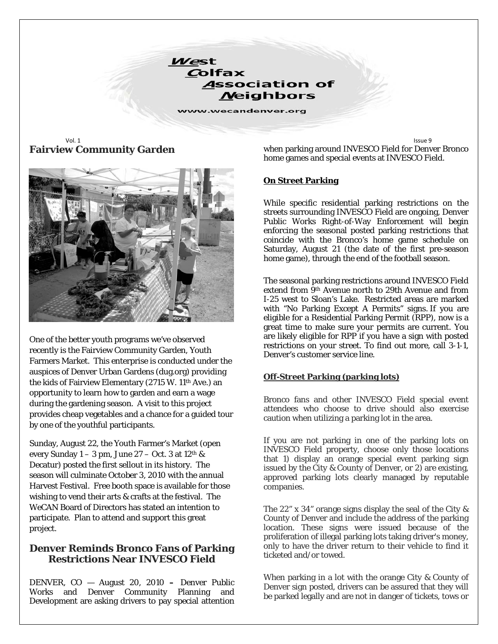West Colfax **Association of Neighbors** 

www.wecandenver.org

Vol. 1 Issue 9 **Fairview Community Garden** 



One of the better youth programs we've observed recently is the Fairview Community Garden, Youth Farmers Market. This enterprise is conducted under the auspices of Denver Urban Gardens (dug.org) providing the kids of Fairview Elementary (2715 W. 11th Ave.) an opportunity to learn how to garden and earn a wage during the gardening season. A visit to this project provides cheap vegetables and a chance for a guided tour by one of the youthful participants.

Sunday, August 22, the Youth Farmer's Market (open every Sunday  $1 - 3$  pm, June  $27 - Oct. 3$  at  $12<sup>th</sup>$  & Decatur) posted the first sellout in its history. The season will culminate October 3, 2010 with the annual Harvest Festival. Free booth space is available for those wishing to vend their arts & crafts at the festival. The We*CAN* Board of Directors has stated an intention to participate. Plan to attend and support this great project.

### **Denver Reminds Bronco Fans of Parking Restrictions Near INVESCO Field**

DENVER, CO — August 20, 2010 **–** Denver Public Works and Denver Community Planning and Development are asking drivers to pay special attention when parking around INVESCO Field for Denver Bronco home games and special events at INVESCO Field.

#### **On Street Parking**

While specific residential parking restrictions on the streets surrounding INVESCO Field are ongoing, Denver Public Works Right-of-Way Enforcement will begin enforcing the seasonal posted parking restrictions that coincide with the Bronco's home game schedule on Saturday, August 21 (the date of the first pre-season home game), through the end of the football season.

The seasonal parking restrictions around INVESCO Field extend from 9th Avenue north to 29th Avenue and from I-25 west to Sloan's Lake. Restricted areas are marked with "No Parking Except A Permits" signs. If you are eligible for a Residential Parking Permit (RPP), now is a great time to make sure your permits are current. You are likely eligible for RPP if you have a sign with posted restrictions on your street. To find out more, call 3-1-1, Denver's customer service line.

#### **Off-Street Parking (parking lots)**

Bronco fans and other INVESCO Field special event attendees who choose to drive should also exercise caution when utilizing a parking lot in the area.

If you are not parking in one of the parking lots on INVESCO Field property, choose only those locations that 1) display an orange special event parking sign issued by the City & County of Denver, or 2) are existing, approved parking lots clearly managed by reputable companies.

The 22" x 34" orange signs display the seal of the City & County of Denver and include the address of the parking location. These signs were issued because of the proliferation of illegal parking lots taking driver's money, only to have the driver return to their vehicle to find it ticketed and/or towed.

When parking in a lot with the orange City & County of Denver sign posted, drivers can be assured that they will be parked legally and are not in danger of tickets, tows or